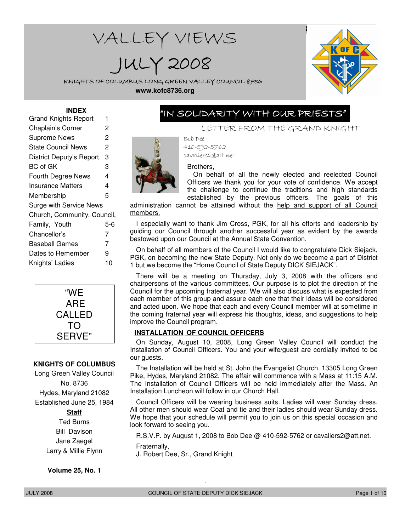# WALLEY VIEWS JULY 2008



KNIGHTS OF COLUMBUS LONG GREEN VALLEY COUNCIL 8736 **www.kofc8736.org**

#### **INDEX**

| Grand Knights Report        | 1   |
|-----------------------------|-----|
| Chaplain's Corner           | 2   |
| <b>Supreme News</b>         | 2   |
| <b>State Council News</b>   | 2   |
| District Deputy's Report    | 3   |
| <b>BC</b> of GK             | 3   |
| Fourth Degree News          | 4   |
| Insurance Matters           | 4   |
| Membership                  | 5   |
| Surge with Service News     |     |
| Church, Community, Council, |     |
| Family, Youth               | 5-6 |
| Chancellor's                | 7   |
| Baseball Games              | 7   |
| Dates to Remember           | 9   |
| Knights' Ladies             | 10  |
|                             |     |



#### **KNIGHTS OF COLUMBUS**

Long Green Valley Council No. 8736 Hydes, Maryland 21082 Established June 25, 1984

#### **Staff**

Ted Burns Bill Davison Jane Zaegel Larry & Millie Flynn

**Volume 25, No. 1**

# "IN SOLIDARITY WITH OUR PRIESTS"

LETTER FROM THE GRAND KNIGHT

Bob Dee 410-592-5762 cavaliers2@att.net

Brothers,

On behalf of all the newly elected and reelected Council Officers we thank you for your vote of confidence. We accept the challenge to continue the traditions and high standards established by the previous officers. The goals of this

administration cannot be attained without the help and support of all Council members.

I especially want to thank Jim Cross, PGK, for all his efforts and leadership by guiding our Council through another successful year as evident by the awards bestowed upon our Council at the Annual State Convention.

On behalf of all members of the Council I would like to congratulate Dick Siejack, PGK, on becoming the new State Deputy. Not only do we become a part of District 1 but we become the "Home Council of State Deputy DICK SIEJACK".

There will be a meeting on Thursday, July 3, 2008 with the officers and chairpersons of the various committees. Our purpose is to plot the direction of the Council for the upcoming fraternal year. We will also discuss what is expected from each member of this group and assure each one that their ideas will be considered and acted upon. We hope that each and every Council member will at sometime in the coming fraternal year will express his thoughts, ideas, and suggestions to help improve the Council program.

#### **INSTALLATION OF COUNCIL OFFICERS**

On Sunday, August 10, 2008, Long Green Valley Council will conduct the Installation of Council Officers. You and your wife/guest are cordially invited to be our guests.

The Installation will be held at St. John the Evangelist Church, 13305 Long Green Pike, Hydes, Maryland 21082. The affair will commence with a Mass at 11:15 A.M. The Installation of Council Officers will be held immediately after the Mass. An Installation Luncheon will follow in our Church Hall.

Council Officers will be wearing business suits. Ladies will wear Sunday dress. All other men should wear Coat and tie and their ladies should wear Sunday dress. We hope that your schedule will permit you to join us on this special occasion and look forward to seeing you.

R.S.V.P. by August 1, 2008 to Bob Dee @ 410-592-5762 or cavaliers2@att.net.

Fraternally, J. Robert Dee, Sr., Grand Knight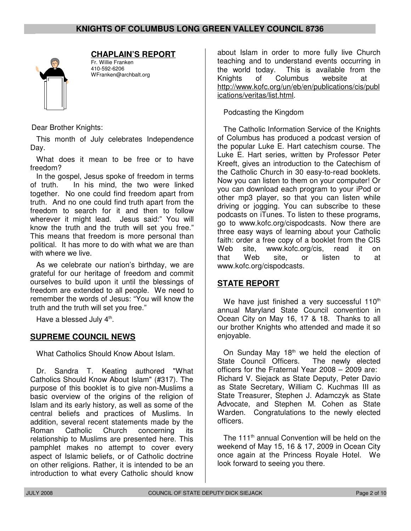

# **CHAPLAIN'S REPORT**

Fr. Willie Franken 410-592-6206 WFranken@archbalt.org

Dear Brother Knights:

This month of July celebrates Independence Day.

What does it mean to be free or to have freedom?

In the gospel, Jesus spoke of freedom in terms of truth. In his mind, the two were linked together. No one could find freedom apart from truth. And no one could find truth apart from the freedom to search for it and then to follow wherever it might lead. Jesus said:" You will know the truth and the truth will set you free." This means that freedom is more personal than political. It has more to do with what we are than with where we live.

As we celebrate our nation's birthday, we are grateful for our heritage of freedom and commit ourselves to build upon it until the blessings of freedom are extended to all people. We need to remember the words of Jesus: "You will know the truth and the truth will set you free."

Have a blessed July  $4<sup>th</sup>$ .

# **SUPREME COUNCIL NEWS**

What Catholics Should Know About Islam.

Dr. Sandra T. Keating authored "What Catholics Should Know About Islam" (#317). The purpose of this booklet is to give non-Muslims a basic overview of the origins of the religion of Islam and its early history, as well as some of the central beliefs and practices of Muslims. In addition, several recent statements made by the Roman Catholic Church concerning its relationship to Muslims are presented here. This pamphlet makes no attempt to cover every aspect of Islamic beliefs, or of Catholic doctrine on other religions. Rather, it is intended to be an introduction to what every Catholic should know

about Islam in order to more fully live Church teaching and to understand events occurring in the world today. This is available from the Knights of Columbus website at http://www.kofc.org/un/eb/en/publications/cis/publ ications/veritas/list.html.

# Podcasting the Kingdom

The Catholic Information Service of the Knights of Columbus has produced a podcast version of the popular Luke E. Hart catechism course. The Luke E. Hart series, written by Professor Peter Kreeft, gives an introduction to the Catechism of the Catholic Church in 30 easy-to-read booklets. Now you can listen to them on your computer! Or you can download each program to your iPod or other mp3 player, so that you can listen while driving or jogging. You can subscribe to these podcasts on iTunes. To listen to these programs, go to www.kofc.org/cispodcasts. Now there are three easy ways of learning about your Catholic faith: order a free copy of a booklet from the CIS Web site, www.kofc.org/cis, read it on that Web site, or listen to at www.kofc.org/cispodcasts.

# **STATE REPORT**

We have just finished a very successful  $110<sup>th</sup>$ annual Maryland State Council convention in Ocean City on May 16, 17 & 18. Thanks to all our brother Knights who attended and made it so enjoyable.

On Sunday May 18<sup>th</sup> we held the election of State Council Officers. The newly elected officers for the Fraternal Year 2008 – 2009 are: Richard V. Siejack as State Deputy, Peter Davio as State Secretary, William C. Kuchmas III as State Treasurer, Stephen J. Adamczyk as State Advocate, and Stephen M. Cohen as State Warden. Congratulations to the newly elected officers.

The 111<sup>th</sup> annual Convention will be held on the weekend of May 15, 16 & 17, 2009 in Ocean City once again at the Princess Royale Hotel. We look forward to seeing you there.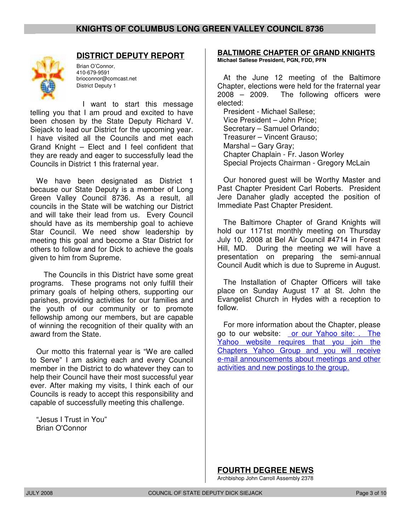

# **DISTRICT DEPUTY REPORT**

Brian O'Connor, 410-679-9591 brioconnor@comcast.net District Deputy 1

I want to start this message telling you that I am proud and excited to have been chosen by the State Deputy Richard V. Siejack to lead our District for the upcoming year. I have visited all the Councils and met each Grand Knight – Elect and I feel confident that they are ready and eager to successfully lead the Councils in District 1 this fraternal year.

We have been designated as District 1 because our State Deputy is a member of Long Green Valley Council 8736. As a result, all councils in the State will be watching our District and will take their lead from us. Every Council should have as its membership goal to achieve Star Council. We need show leadership by meeting this goal and become a Star District for others to follow and for Dick to achieve the goals given to him from Supreme.

 The Councils in this District have some great programs. These programs not only fulfill their primary goals of helping others, supporting our parishes, providing activities for our families and the youth of our community or to promote fellowship among our members, but are capable of winning the recognition of their quality with an award from the State.

Our motto this fraternal year is "We are called to Serve" I am asking each and every Council member in the District to do whatever they can to help their Council have their most successful year ever. After making my visits, I think each of our Councils is ready to accept this responsibility and capable of successfully meeting this challenge.

"Jesus I Trust in You" Brian O'Connor

**BALTIMORE CHAPTER OF GRAND KNIGHTS Michael Sallese President, PGN, FDD, PFN**

At the June 12 meeting of the Baltimore Chapter, elections were held for the fraternal year 2008 – 2009. The following officers were elected:

President - Michael Sallese; Vice President – John Price; Secretary – Samuel Orlando; Treasurer – Vincent Grauso; Marshal – Gary Gray; Chapter Chaplain - Fr. Jason Worley Special Projects Chairman - Gregory McLain

Our honored guest will be Worthy Master and Past Chapter President Carl Roberts. President Jere Danaher gladly accepted the position of Immediate Past Chapter President.

The Baltimore Chapter of Grand Knights will hold our 1171st monthly meeting on Thursday July 10, 2008 at Bel Air Council #4714 in Forest Hill, MD. During the meeting we will have a presentation on preparing the semi-annual Council Audit which is due to Supreme in August.

The Installation of Chapter Officers will take place on Sunday August 17 at St. John the Evangelist Church in Hydes with a reception to follow.

For more information about the Chapter, please go to our website: or our Yahoo site: . The Yahoo website requires that you join the Chapters Yahoo Group and you will receive e-mail announcements about meetings and other activities and new postings to the group.

**FOURTH DEGREE NEWS**

Archbishop John Carroll Assembly 2378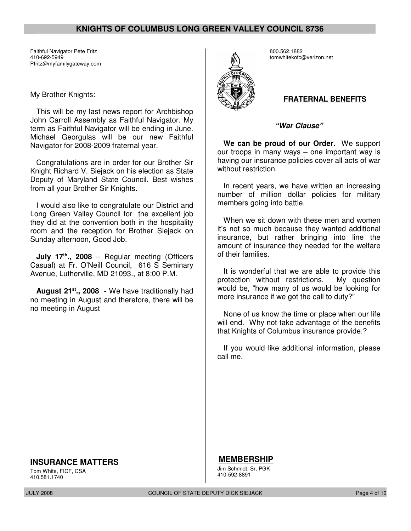Faithful Navigator Pete Fritz 410-692-5949 Pfritz@myfamilygateway.com

#### My Brother Knights:

This will be my last news report for Archbishop John Carroll Assembly as Faithful Navigator. My term as Faithful Navigator will be ending in June. Michael Georgulas will be our new Faithful Navigator for 2008-2009 fraternal year.

Congratulations are in order for our Brother Sir Knight Richard V. Siejack on his election as State Deputy of Maryland State Council. Best wishes from all your Brother Sir Knights.

I would also like to congratulate our District and Long Green Valley Council for the excellent job they did at the convention both in the hospitality room and the reception for Brother Siejack on Sunday afternoon, Good Job.

**July 17th., 2008** – Regular meeting (Officers Casual) at Fr. O'Neill Council, 616 S Seminary Avenue, Lutherville, MD 21093., at 8:00 P.M.

**August 21st., 2008** - We have traditionally had no meeting in August and therefore, there will be no meeting in August



800.562.1882 tomwhitekofc@verizon.net

#### **FRATERNAL BENEFITS**

**"War Clause"**

**We can be proud of our Order.** We support our troops in many ways – one important way is having our insurance policies cover all acts of war without restriction.

In recent years, we have written an increasing number of million dollar policies for military members going into battle.

When we sit down with these men and women it's not so much because they wanted additional insurance, but rather bringing into line the amount of insurance they needed for the welfare of their families.

It is wonderful that we are able to provide this protection without restrictions. My question would be, "how many of us would be looking for more insurance if we got the call to duty?"

None of us know the time or place when our life will end. Why not take advantage of the benefits that Knights of Columbus insurance provide.?

If you would like additional information, please call me.

## **INSURANCE MATTERS**

Tom White, FICF, CSA 410.581.1740

JULY 2008 COUNCIL OF STATE DEPUTY DICK SIEJACK Page 4 of 10

**MEMBERSHIP** Jim Schmidt, Sr, PGK 410-592-8891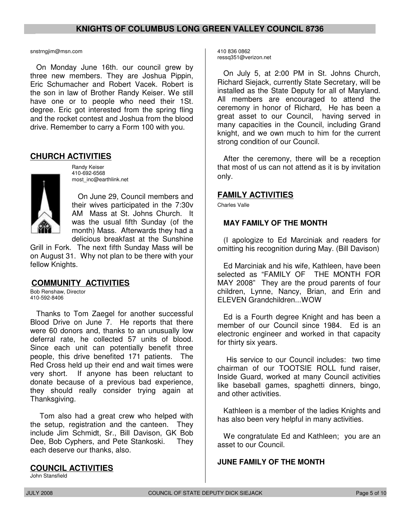#### snstrngjim@msn.com

On Monday June 16th. our council grew by three new members. They are Joshua Pippin, Eric Schumacher and Robert Vacek. Robert is the son in law of Brother Randy Keiser. We still have one or to people who need their 1St. degree. Eric got interested from the spring fling and the rocket contest and Joshua from the blood drive. Remember to carry a Form 100 with you.

#### **CHURCH ACTIVITIES**



Randy Keiser 410-692-6568 most\_inc@earthlink.net

On June 29, Council members and their wives participated in the 7:30v AM Mass at St. Johns Church. It was the usual fifth Sunday (of the month) Mass. Afterwards they had a delicious breakfast at the Sunshine

Grill in Fork. The next fifth Sunday Mass will be on August 31. Why not plan to be there with your fellow Knights.

## **COMMUNITY ACTIVITIES**

Bob Renshaw, Director 410-592-8406

Thanks to Tom Zaegel for another successful Blood Drive on June 7. He reports that there were 60 donors and, thanks to an unusually low deferral rate, he collected 57 units of blood. Since each unit can potentially benefit three people, this drive benefited 171 patients. The Red Cross held up their end and wait times were very short. If anyone has been reluctant to donate because of a previous bad experience, they should really consider trying again at Thanksgiving.

 Tom also had a great crew who helped with the setup, registration and the canteen. They include Jim Schmidt, Sr., Bill Davison, GK Bob Dee, Bob Cyphers, and Pete Stankoski. They each deserve our thanks, also.

# **COUNCIL ACTIVITIES**

John Stansfield

410 836 0862 ressq351@verizon.net

On July 5, at 2:00 PM in St. Johns Church, Richard Siejack, currently State Secretary, will be installed as the State Deputy for all of Maryland. All members are encouraged to attend the ceremony in honor of Richard, He has been a great asset to our Council, having served in many capacities in the Council, including Grand knight, and we own much to him for the current strong condition of our Council.

After the ceremony, there will be a reception that most of us can not attend as it is by invitation only.

# **FAMILY ACTIVITIES**

Charles Valle

# **MAY FAMILY OF THE MONTH**

(I apologize to Ed Marciniak and readers for omitting his recognition during May. (Bill Davison)

Ed Marciniak and his wife, Kathleen, have been selected as "FAMILY OF THE MONTH FOR MAY 2008" They are the proud parents of four children, Lynne, Nancy, Brian, and Erin and ELEVEN Grandchildren...WOW

Ed is a Fourth degree Knight and has been a member of our Council since 1984. Ed is an electronic engineer and worked in that capacity for thirty six years.

 His service to our Council includes: two time chairman of our TOOTSIE ROLL fund raiser, Inside Guard, worked at many Council activities like baseball games, spaghetti dinners, bingo, and other activities.

Kathleen is a member of the ladies Knights and has also been very helpful in many activities.

We congratulate Ed and Kathleen; you are an asset to our Council.

## **JUNE FAMILY OF THE MONTH**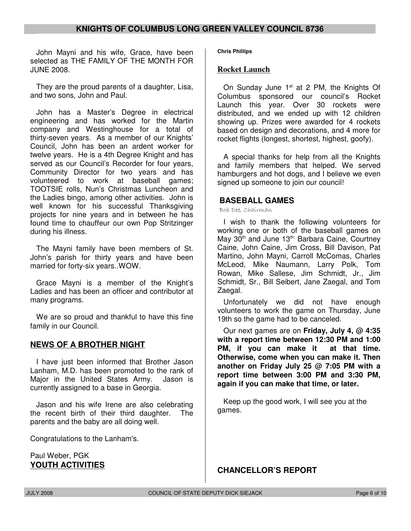John Mayni and his wife, Grace, have been selected as THE FAMILY OF THE MONTH FOR JUNE 2008.

They are the proud parents of a daughter, Lisa, and two sons, John and Paul.

John has a Master's Degree in electrical engineering and has worked for the Martin company and Westinghouse for a total of thirty-seven years. As a member of our Knights' Council, John has been an ardent worker for twelve years. He is a 4th Degree Knight and has served as our Council's Recorder for four years, Community Director for two years and has volunteered to work at baseball games; TOOTSIE rolls, Nun's Christmas Luncheon and the Ladies bingo, among other activities. John is well known for his successful Thanksgiving projects for nine years and in between he has found time to chauffeur our own Pop Stritzinger during his illness.

The Mayni family have been members of St. John's parish for thirty years and have been married for forty-six years..WOW.

Grace Mayni is a member of the Knight's Ladies and has been an officer and contributor at many programs.

We are so proud and thankful to have this fine family in our Council.

## **NEWS OF A BROTHER NIGHT**

I have just been informed that Brother Jason Lanham, M.D. has been promoted to the rank of Major in the United States Army. Jason is currently assigned to a base in Georgia.

Jason and his wife Irene are also celebrating the recent birth of their third daughter. The parents and the baby are all doing well.

Congratulations to the Lanham's.

Paul Weber, PGK **YOUTH ACTIVITIES** **Chris Phillips** 

#### **Rocket Launch**

On Sunday June  $1<sup>st</sup>$  at 2 PM, the Knights Of Columbus sponsored our council's Rocket Launch this year. Over 30 rockets were distributed, and we ended up with 12 children showing up. Prizes were awarded for 4 rockets based on design and decorations, and 4 more for rocket flights (longest, shortest, highest, goofy).

A special thanks for help from all the Knights and family members that helped. We served hamburgers and hot dogs, and I believe we even signed up someone to join our council!

#### **BASEBALL GAMES**

Bob Dee, Chairman

I wish to thank the following volunteers for working one or both of the baseball games on May 30<sup>th</sup> and June 13<sup>th:</sup> Barbara Caine, Courtney Caine, John Caine, Jim Cross, Bill Davison, Pat Martino, John Mayni, Carroll McComas, Charles McLeod, Mike Naumann, Larry Polk, Tom Rowan, Mike Sallese, Jim Schmidt, Jr., Jim Schmidt, Sr., Bill Seibert, Jane Zaegal, and Tom Zaegal.

Unfortunately we did not have enough volunteers to work the game on Thursday, June 19th so the game had to be canceled.

Our next games are on **Friday, July 4, @ 4:35 with a report time between 12:30 PM and 1:00 PM, if you can make it at that time. Otherwise, come when you can make it. Then another on Friday July 25 @ 7:05 PM with a report time between 3:00 PM and 3:30 PM, again if you can make that time, or later.**

Keep up the good work, I will see you at the games.

# **CHANCELLOR'S REPORT**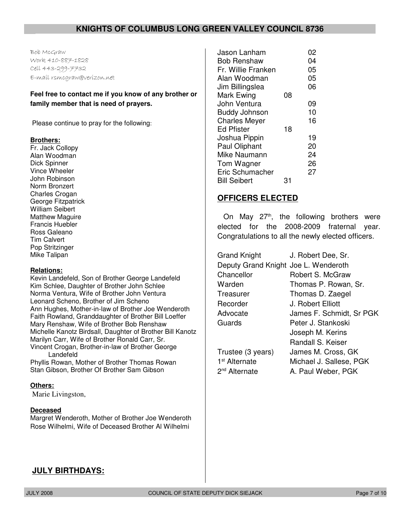Bob McGraw Work 410-887-1828 Cell 443-299-7732 E-mail rsmcgraw@verizon.net

#### **Feel free to contact me if you know of any brother or family member that is need of prayers.**

Please continue to pray for the following:

#### **Brothers:**

Fr. Jack Collopy Alan Woodman Dick Spinner Vince Wheeler John Robinson Norm Bronzert Charles Crogan George Fitzpatrick William Seibert Matthew Maguire Francis Huebler Ross Galeano Tim Calvert Pop Stritzinger Mike Talipan

#### **Relations:**

Kevin Landefeld, Son of Brother George Landefeld Kim Schlee, Daughter of Brother John Schlee Norma Ventura, Wife of Brother John Ventura Leonard Scheno, Brother of Jim Scheno Ann Hughes, Mother-in-law of Brother Joe Wenderoth Faith Rowland, Granddaughter of Brother Bill Loeffer Mary Renshaw, Wife of Brother Bob Renshaw Michelle Kanotz Birdsall, Daughter of Brother Bill Kanotz Marilyn Carr, Wife of Brother Ronald Carr, Sr. Vincent Crogan, Brother-in-law of Brother George Landefeld

Phyllis Rowan, Mother of Brother Thomas Rowan Stan Gibson, Brother Of Brother Sam Gibson

#### **Others:**

Marie Livingston,

#### **Deceased**

Margret Wenderoth, Mother of Brother Joe Wenderoth Rose Wilhelmi, Wife of Deceased Brother Al Wilhelmi

| Jason Lanham         |    | 02 |
|----------------------|----|----|
| Bob Renshaw          |    | 04 |
| Fr. Willie Franken   |    | 05 |
| Alan Woodman         |    | 05 |
| Jim Billingslea      |    | 06 |
| Mark Ewing           | 08 |    |
| John Ventura         |    | 09 |
| <b>Buddy Johnson</b> |    | 10 |
| <b>Charles Meyer</b> |    | 16 |
| <b>Ed Pfister</b>    | 18 |    |
| Joshua Pippin        |    | 19 |
| Paul Oliphant        |    | 20 |
| Mike Naumann         |    | 24 |
| Tom Wagner           |    | 26 |
| Eric Schumacher      |    | 27 |
| <b>Bill Seibert</b>  | 31 |    |
|                      |    |    |

# **OFFICERS ELECTED**

On May  $27<sup>th</sup>$ , the following brothers were elected for the 2008-2009 fraternal year. Congratulations to all the newly elected officers.

| <b>Grand Knight</b>                  | J. Robert Dee, Sr.       |
|--------------------------------------|--------------------------|
| Deputy Grand Knight Joe L. Wenderoth |                          |
| Chancellor                           | Robert S. McGraw         |
| Warden                               | Thomas P. Rowan, Sr.     |
| Treasurer                            | Thomas D. Zaegel         |
| Recorder                             | J. Robert Elliott        |
| Advocate                             | James F. Schmidt, Sr PGK |
| Guards                               | Peter J. Stankoski       |
|                                      | Joseph M. Kerins         |
|                                      | Randall S. Keiser        |
| Trustee (3 years)                    | James M. Cross, GK       |
| 1 <sup>st</sup> Alternate            | Michael J. Sallese, PGK  |
| 2 <sup>nd</sup> Alternate            | A. Paul Weber, PGK       |

# **JULY BIRTHDAYS:**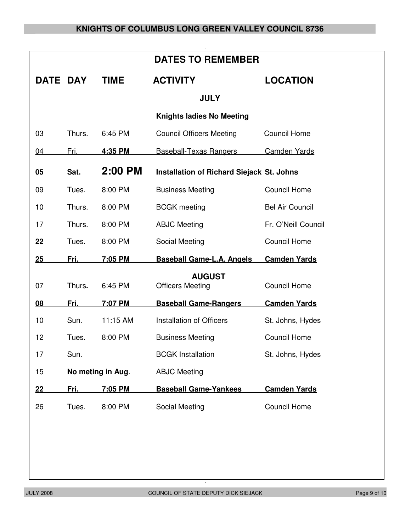|          | <b>DATES TO REMEMBER</b>                                     |                   |                                          |                        |  |
|----------|--------------------------------------------------------------|-------------------|------------------------------------------|------------------------|--|
| DATE DAY |                                                              | <b>TIME</b>       | <b>ACTIVITY</b>                          | <b>LOCATION</b>        |  |
|          |                                                              |                   | <b>JULY</b>                              |                        |  |
|          |                                                              |                   | <b>Knights ladies No Meeting</b>         |                        |  |
| 03       | Thurs.                                                       | 6:45 PM           | <b>Council Officers Meeting</b>          | <b>Council Home</b>    |  |
| 04       | Fri.                                                         | 4:35 PM           | <b>Baseball-Texas Rangers</b>            | <b>Camden Yards</b>    |  |
| 05       | 2:00 PM<br>Sat.<br>Installation of Richard Siejack St. Johns |                   |                                          |                        |  |
| 09       | Tues.                                                        | 8:00 PM           | <b>Business Meeting</b>                  | <b>Council Home</b>    |  |
| 10       | Thurs.                                                       | 8:00 PM           | <b>BCGK</b> meeting                      | <b>Bel Air Council</b> |  |
| 17       | Thurs.                                                       | 8:00 PM           | <b>ABJC Meeting</b>                      | Fr. O'Neill Council    |  |
| 22       | Tues.                                                        | 8:00 PM           | Social Meeting                           | <b>Council Home</b>    |  |
| 25       | Fri.                                                         | 7:05 PM           | <b>Baseball Game-L.A. Angels</b>         | <b>Camden Yards</b>    |  |
| 07       | Thurs.                                                       | 6:45 PM           | <b>AUGUST</b><br><b>Officers Meeting</b> | <b>Council Home</b>    |  |
| 08       | <u>Fri.</u>                                                  | 7:07 PM           | <b>Baseball Game-Rangers</b>             | <b>Camden Yards</b>    |  |
| 10       | Sun.                                                         | 11:15 AM          | Installation of Officers                 | St. Johns, Hydes       |  |
| 12       | Tues.                                                        | 8:00 PM           | <b>Business Meeting</b>                  | <b>Council Home</b>    |  |
| 17       | Sun.                                                         |                   | <b>BCGK Installation</b>                 | St. Johns, Hydes       |  |
| 15       |                                                              | No meting in Aug. | <b>ABJC Meeting</b>                      |                        |  |
| 22       | <u>Fri.</u>                                                  | 7:05 PM           | <b>Baseball Game-Yankees</b>             | <b>Camden Yards</b>    |  |
| 26       | Tues.                                                        | 8:00 PM           | Social Meeting                           | <b>Council Home</b>    |  |